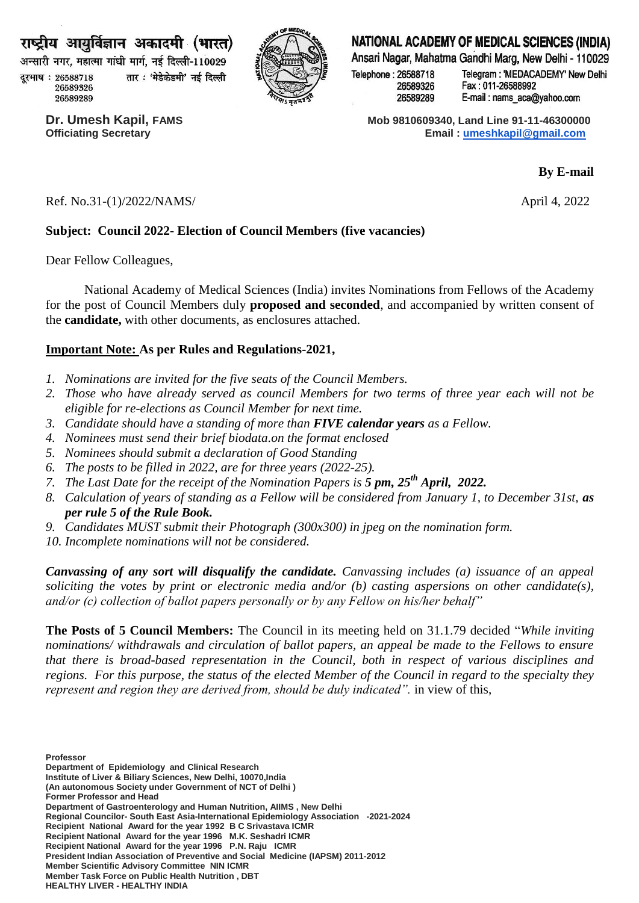# राष्ट्रीय आयुर्विज्ञान अकादमी (भारत)

अन्सारी नगर, महात्मा गांधी मार्ग, नई दिल्ली-110029

दूरभाष: 26588718 26589326 96589989 तार: 'मेडेकेडमी' नई दिल्ली

# **NATIONAL ACADEMY OF MEDICAL SCIENCES (INDIA)**

Ansari Nagar, Mahatma Gandhi Marg, New Delhi - 110029

Telephone: 26588718 26589326 26589289 Telegram: 'MEDACADEMY' New Delhi Fax: 011-26588992 E-mail: nams\_aca@yahoo.com

**Dr. Umesh Kapil, FAMS Mob 9810609340, Land Line 91-11-46300000 Officiating Secretary Email : [umeshkapil@gmail.com](mailto:umeshkapil@gmail.com)**

**By E-mail**

Ref. No.31-(1)/2022/NAMS/ April 4, 2022

#### **Subject: Council 2022- Election of Council Members (five vacancies)**

Dear Fellow Colleagues,

National Academy of Medical Sciences (India) invites Nominations from Fellows of the Academy for the post of Council Members duly **proposed and seconded**, and accompanied by written consent of the **candidate,** with other documents, as enclosures attached.

#### **Important Note: As per Rules and Regulations-2021,**

- *1. Nominations are invited for the five seats of the Council Members.*
- *2. Those who have already served as council Members for two terms of three year each will not be eligible for re-elections as Council Member for next time.*
- *3. Candidate should have a standing of more than FIVE calendar years as a Fellow.*
- *4. Nominees must send their brief biodata.on the format enclosed*
- *5. Nominees should submit a declaration of Good Standing*
- *6. The posts to be filled in 2022, are for three years (2022-25).*
- *7. The Last Date for the receipt of the Nomination Papers is 5 pm, 25th April, 2022.*
- *8. Calculation of years of standing as a Fellow will be considered from January 1, to December 31st, as per rule 5 of the Rule Book.*
- *9. Candidates MUST submit their Photograph (300x300) in jpeg on the nomination form.*
- *10. Incomplete nominations will not be considered.*

*Canvassing of any sort will disqualify the candidate. Canvassing includes (a) issuance of an appeal soliciting the votes by print or electronic media and/or (b) casting aspersions on other candidate(s), and/or (c) collection of ballot papers personally or by any Fellow on his/her behalf"*

**The Posts of 5 Council Members:** The Council in its meeting held on 31.1.79 decided "*While inviting nominations/ withdrawals and circulation of ballot papers, an appeal be made to the Fellows to ensure that there is broad-based representation in the Council, both in respect of various disciplines and regions. For this purpose, the status of the elected Member of the Council in regard to the specialty they represent and region they are derived from, should be duly indicated".* in view of this,

**Professor**

- **(An autonomous Society under Government of NCT of Delhi ) Former Professor and Head**
- **Department of Gastroenterology and Human Nutrition, AIIMS , New Delhi**
- **Regional Councilor- South East Asia-International Epidemiology Association -2021-2024**
- **Recipient National Award for the year 1992 B C Srivastava ICMR**

**Department of Epidemiology and Clinical Research**

**Institute of Liver & Biliary Sciences, New Delhi, 10070,India**

**Recipient National Award for the year 1996 M.K. Seshadri ICMR**

**Recipient National Award for the year 1996 P.N. Raju ICMR**

**President Indian Association of Preventive and Social Medicine (IAPSM) 2011-2012**

**Member Scientific Advisory Committee NIN ICMR Member Task Force on Public Health Nutrition , DBT**

**HEALTHY LIVER - HEALTHY INDIA**